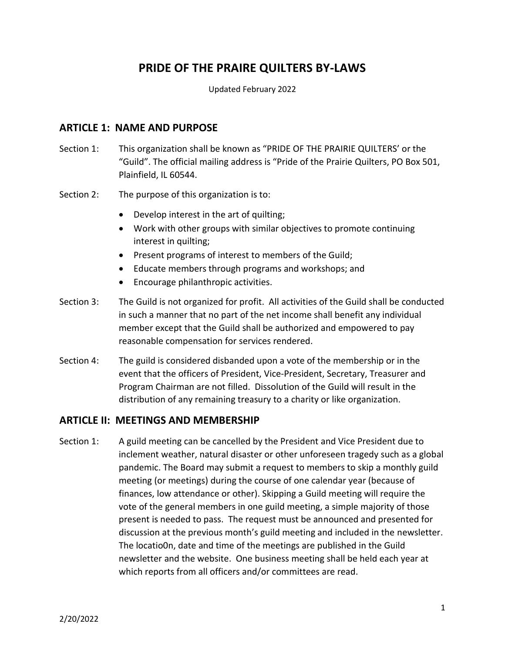# **PRIDE OF THE PRAIRE QUILTERS BY-LAWS**

Updated February 2022

### **ARTICLE 1: NAME AND PURPOSE**

- Section 1: This organization shall be known as "PRIDE OF THE PRAIRIE QUILTERS' or the "Guild". The official mailing address is "Pride of the Prairie Quilters, PO Box 501, Plainfield, IL 60544.
- Section 2: The purpose of this organization is to:
	- Develop interest in the art of quilting;
	- Work with other groups with similar objectives to promote continuing interest in quilting;
	- Present programs of interest to members of the Guild;
	- Educate members through programs and workshops; and
	- Encourage philanthropic activities.
- Section 3: The Guild is not organized for profit. All activities of the Guild shall be conducted in such a manner that no part of the net income shall benefit any individual member except that the Guild shall be authorized and empowered to pay reasonable compensation for services rendered.
- Section 4: The guild is considered disbanded upon a vote of the membership or in the event that the officers of President, Vice-President, Secretary, Treasurer and Program Chairman are not filled. Dissolution of the Guild will result in the distribution of any remaining treasury to a charity or like organization.

#### **ARTICLE II: MEETINGS AND MEMBERSHIP**

Section 1: A guild meeting can be cancelled by the President and Vice President due to inclement weather, natural disaster or other unforeseen tragedy such as a global pandemic. The Board may submit a request to members to skip a monthly guild meeting (or meetings) during the course of one calendar year (because of finances, low attendance or other). Skipping a Guild meeting will require the vote of the general members in one guild meeting, a simple majority of those present is needed to pass. The request must be announced and presented for discussion at the previous month's guild meeting and included in the newsletter. The locatio0n, date and time of the meetings are published in the Guild newsletter and the website. One business meeting shall be held each year at which reports from all officers and/or committees are read.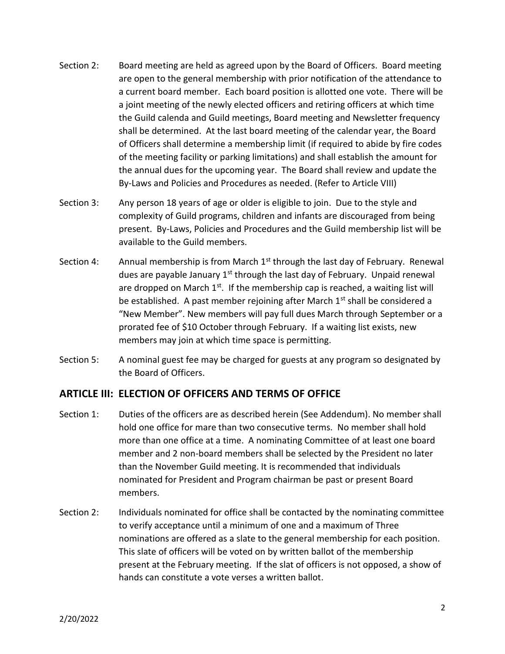- Section 2: Board meeting are held as agreed upon by the Board of Officers. Board meeting are open to the general membership with prior notification of the attendance to a current board member. Each board position is allotted one vote. There will be a joint meeting of the newly elected officers and retiring officers at which time the Guild calenda and Guild meetings, Board meeting and Newsletter frequency shall be determined. At the last board meeting of the calendar year, the Board of Officers shall determine a membership limit (if required to abide by fire codes of the meeting facility or parking limitations) and shall establish the amount for the annual dues for the upcoming year. The Board shall review and update the By-Laws and Policies and Procedures as needed. (Refer to Article VIII)
- Section 3: Any person 18 years of age or older is eligible to join. Due to the style and complexity of Guild programs, children and infants are discouraged from being present. By-Laws, Policies and Procedures and the Guild membership list will be available to the Guild members.
- Section 4: Annual membership is from March  $1<sup>st</sup>$  through the last day of February. Renewal dues are payable January 1<sup>st</sup> through the last day of February. Unpaid renewal are dropped on March  $1^{st}$ . If the membership cap is reached, a waiting list will be established. A past member rejoining after March  $1<sup>st</sup>$  shall be considered a "New Member". New members will pay full dues March through September or a prorated fee of \$10 October through February. If a waiting list exists, new members may join at which time space is permitting.
- Section 5: A nominal guest fee may be charged for guests at any program so designated by the Board of Officers.

#### **ARTICLE III: ELECTION OF OFFICERS AND TERMS OF OFFICE**

- Section 1: Duties of the officers are as described herein (See Addendum). No member shall hold one office for mare than two consecutive terms. No member shall hold more than one office at a time. A nominating Committee of at least one board member and 2 non-board members shall be selected by the President no later than the November Guild meeting. It is recommended that individuals nominated for President and Program chairman be past or present Board members.
- Section 2: Individuals nominated for office shall be contacted by the nominating committee to verify acceptance until a minimum of one and a maximum of Three nominations are offered as a slate to the general membership for each position. This slate of officers will be voted on by written ballot of the membership present at the February meeting. If the slat of officers is not opposed, a show of hands can constitute a vote verses a written ballot.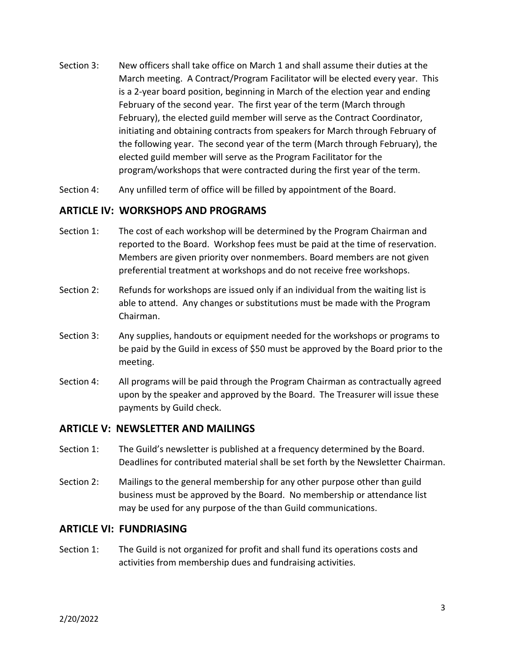- Section 3: New officers shall take office on March 1 and shall assume their duties at the March meeting. A Contract/Program Facilitator will be elected every year. This is a 2-year board position, beginning in March of the election year and ending February of the second year. The first year of the term (March through February), the elected guild member will serve as the Contract Coordinator, initiating and obtaining contracts from speakers for March through February of the following year. The second year of the term (March through February), the elected guild member will serve as the Program Facilitator for the program/workshops that were contracted during the first year of the term.
- Section 4: Any unfilled term of office will be filled by appointment of the Board.

#### **ARTICLE IV: WORKSHOPS AND PROGRAMS**

- Section 1: The cost of each workshop will be determined by the Program Chairman and reported to the Board. Workshop fees must be paid at the time of reservation. Members are given priority over nonmembers. Board members are not given preferential treatment at workshops and do not receive free workshops.
- Section 2: Refunds for workshops are issued only if an individual from the waiting list is able to attend. Any changes or substitutions must be made with the Program Chairman.
- Section 3: Any supplies, handouts or equipment needed for the workshops or programs to be paid by the Guild in excess of \$50 must be approved by the Board prior to the meeting.
- Section 4: All programs will be paid through the Program Chairman as contractually agreed upon by the speaker and approved by the Board. The Treasurer will issue these payments by Guild check.

#### **ARTICLE V: NEWSLETTER AND MAILINGS**

- Section 1: The Guild's newsletter is published at a frequency determined by the Board. Deadlines for contributed material shall be set forth by the Newsletter Chairman.
- Section 2: Mailings to the general membership for any other purpose other than guild business must be approved by the Board. No membership or attendance list may be used for any purpose of the than Guild communications.

#### **ARTICLE VI: FUNDRIASING**

Section 1: The Guild is not organized for profit and shall fund its operations costs and activities from membership dues and fundraising activities.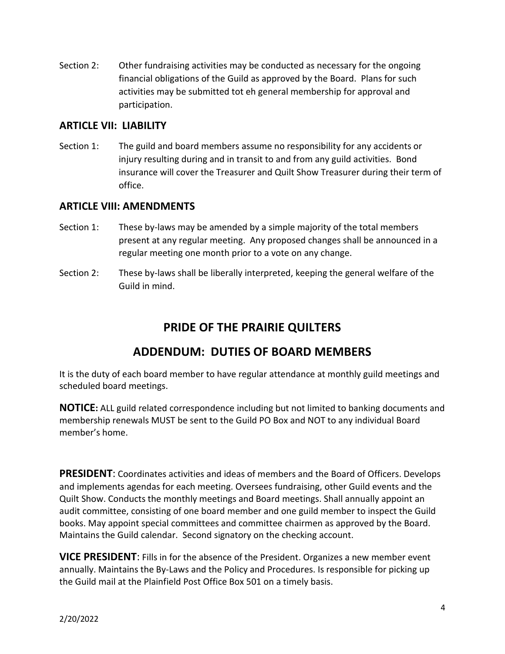Section 2: Other fundraising activities may be conducted as necessary for the ongoing financial obligations of the Guild as approved by the Board. Plans for such activities may be submitted tot eh general membership for approval and participation.

## **ARTICLE VII: LIABILITY**

Section 1: The guild and board members assume no responsibility for any accidents or injury resulting during and in transit to and from any guild activities. Bond insurance will cover the Treasurer and Quilt Show Treasurer during their term of office.

### **ARTICLE VIII: AMENDMENTS**

- Section 1: These by-laws may be amended by a simple majority of the total members present at any regular meeting. Any proposed changes shall be announced in a regular meeting one month prior to a vote on any change.
- Section 2: These by-laws shall be liberally interpreted, keeping the general welfare of the Guild in mind.

# **PRIDE OF THE PRAIRIE QUILTERS**

# **ADDENDUM: DUTIES OF BOARD MEMBERS**

It is the duty of each board member to have regular attendance at monthly guild meetings and scheduled board meetings.

**NOTICE:** ALL guild related correspondence including but not limited to banking documents and membership renewals MUST be sent to the Guild PO Box and NOT to any individual Board member's home.

**PRESIDENT**: Coordinates activities and ideas of members and the Board of Officers. Develops and implements agendas for each meeting. Oversees fundraising, other Guild events and the Quilt Show. Conducts the monthly meetings and Board meetings. Shall annually appoint an audit committee, consisting of one board member and one guild member to inspect the Guild books. May appoint special committees and committee chairmen as approved by the Board. Maintains the Guild calendar. Second signatory on the checking account.

**VICE PRESIDENT**: Fills in for the absence of the President. Organizes a new member event annually. Maintains the By-Laws and the Policy and Procedures. Is responsible for picking up the Guild mail at the Plainfield Post Office Box 501 on a timely basis.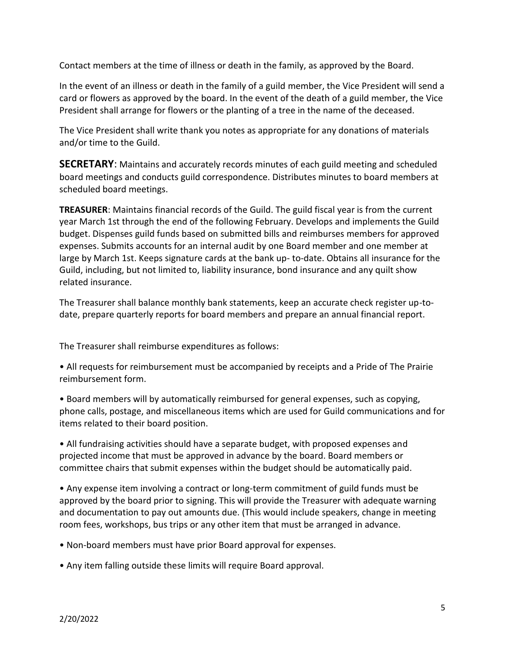Contact members at the time of illness or death in the family, as approved by the Board.

In the event of an illness or death in the family of a guild member, the Vice President will send a card or flowers as approved by the board. In the event of the death of a guild member, the Vice President shall arrange for flowers or the planting of a tree in the name of the deceased.

The Vice President shall write thank you notes as appropriate for any donations of materials and/or time to the Guild.

**SECRETARY**: Maintains and accurately records minutes of each guild meeting and scheduled board meetings and conducts guild correspondence. Distributes minutes to board members at scheduled board meetings.

**TREASURER**: Maintains financial records of the Guild. The guild fiscal year is from the current year March 1st through the end of the following February. Develops and implements the Guild budget. Dispenses guild funds based on submitted bills and reimburses members for approved expenses. Submits accounts for an internal audit by one Board member and one member at large by March 1st. Keeps signature cards at the bank up- to-date. Obtains all insurance for the Guild, including, but not limited to, liability insurance, bond insurance and any quilt show related insurance.

The Treasurer shall balance monthly bank statements, keep an accurate check register up-todate, prepare quarterly reports for board members and prepare an annual financial report.

The Treasurer shall reimburse expenditures as follows:

• All requests for reimbursement must be accompanied by receipts and a Pride of The Prairie reimbursement form.

• Board members will by automatically reimbursed for general expenses, such as copying, phone calls, postage, and miscellaneous items which are used for Guild communications and for items related to their board position.

• All fundraising activities should have a separate budget, with proposed expenses and projected income that must be approved in advance by the board. Board members or committee chairs that submit expenses within the budget should be automatically paid.

• Any expense item involving a contract or long-term commitment of guild funds must be approved by the board prior to signing. This will provide the Treasurer with adequate warning and documentation to pay out amounts due. (This would include speakers, change in meeting room fees, workshops, bus trips or any other item that must be arranged in advance.

• Non-board members must have prior Board approval for expenses.

• Any item falling outside these limits will require Board approval.